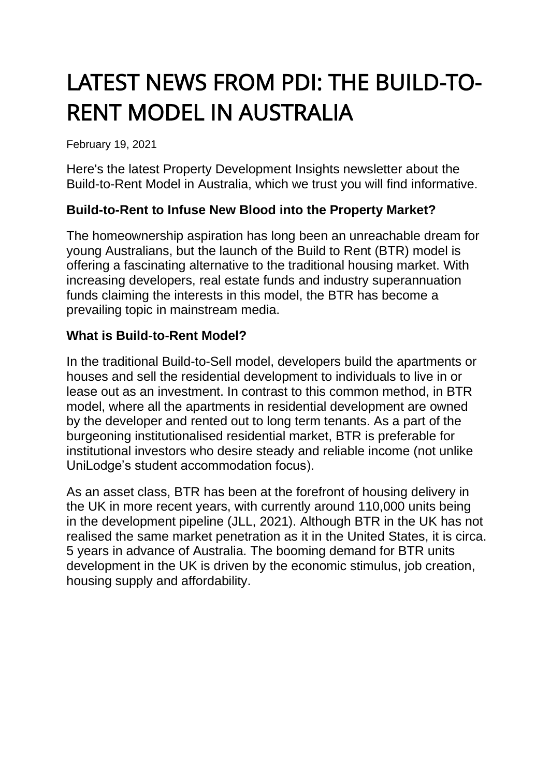# LATEST NEWS FROM PDI: THE BUILD-TO-RENT MODEL IN AUSTRALIA

February 19, 2021

Here's the latest Property Development Insights newsletter about the Build-to-Rent Model in Australia, which we trust you will find informative.

### **Build-to-Rent to Infuse New Blood into the Property Market?**

The homeownership aspiration has long been an unreachable dream for young Australians, but the launch of the Build to Rent (BTR) model is offering a fascinating alternative to the traditional housing market. With increasing developers, real estate funds and industry superannuation funds claiming the interests in this model, the BTR has become a prevailing topic in mainstream media.

### **What is Build-to-Rent Model?**

In the traditional Build-to-Sell model, developers build the apartments or houses and sell the residential development to individuals to live in or lease out as an investment. In contrast to this common method, in BTR model, where all the apartments in residential development are owned by the developer and rented out to long term tenants. As a part of the burgeoning institutionalised residential market, BTR is preferable for institutional investors who desire steady and reliable income (not unlike UniLodge's student accommodation focus).

As an asset class, BTR has been at the forefront of housing delivery in the UK in more recent years, with currently around 110,000 units being in the development pipeline (JLL, 2021). Although BTR in the UK has not realised the same market penetration as it in the United States, it is circa. 5 years in advance of Australia. The booming demand for BTR units development in the UK is driven by the economic stimulus, job creation, housing supply and affordability.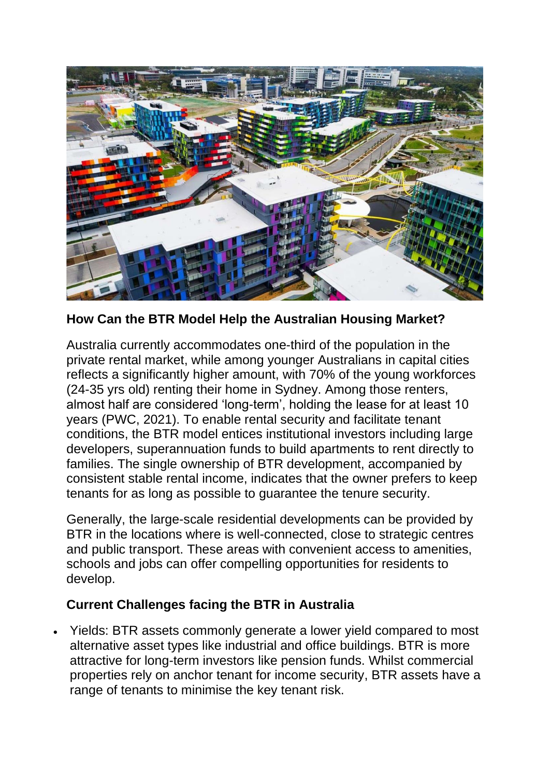

**How Can the BTR Model Help the Australian Housing Market?**

Australia currently accommodates one-third of the population in the private rental market, while among younger Australians in capital cities reflects a significantly higher amount, with 70% of the young workforces (24-35 yrs old) renting their home in Sydney. Among those renters, almost half are considered 'long-term', holding the lease for at least 10 years (PWC, 2021). To enable rental security and facilitate tenant conditions, the BTR model entices institutional investors including large developers, superannuation funds to build apartments to rent directly to families. The single ownership of BTR development, accompanied by consistent stable rental income, indicates that the owner prefers to keep tenants for as long as possible to guarantee the tenure security.

Generally, the large-scale residential developments can be provided by BTR in the locations where is well-connected, close to strategic centres and public transport. These areas with convenient access to amenities, schools and jobs can offer compelling opportunities for residents to develop.

# **Current Challenges facing the BTR in Australia**

• Yields: BTR assets commonly generate a lower yield compared to most alternative asset types like industrial and office buildings. BTR is more attractive for long-term investors like pension funds. Whilst commercial properties rely on anchor tenant for income security, BTR assets have a range of tenants to minimise the key tenant risk.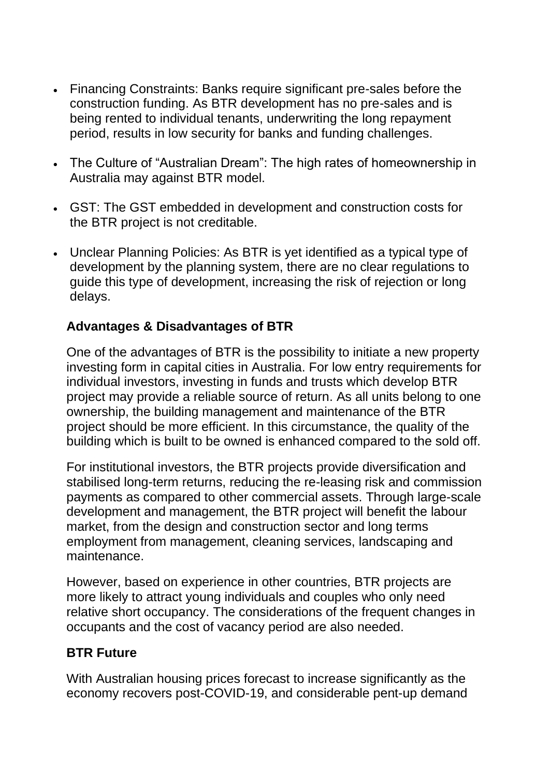- Financing Constraints: Banks require significant pre-sales before the construction funding. As BTR development has no pre-sales and is being rented to individual tenants, underwriting the long repayment period, results in low security for banks and funding challenges.
- The Culture of "Australian Dream": The high rates of homeownership in Australia may against BTR model.
- GST: The GST embedded in development and construction costs for the BTR project is not creditable.
- Unclear Planning Policies: As BTR is yet identified as a typical type of development by the planning system, there are no clear regulations to guide this type of development, increasing the risk of rejection or long delays.

# **Advantages & Disadvantages of BTR**

One of the advantages of BTR is the possibility to initiate a new property investing form in capital cities in Australia. For low entry requirements for individual investors, investing in funds and trusts which develop BTR project may provide a reliable source of return. As all units belong to one ownership, the building management and maintenance of the BTR project should be more efficient. In this circumstance, the quality of the building which is built to be owned is enhanced compared to the sold off.

For institutional investors, the BTR projects provide diversification and stabilised long-term returns, reducing the re-leasing risk and commission payments as compared to other commercial assets. Through large-scale development and management, the BTR project will benefit the labour market, from the design and construction sector and long terms employment from management, cleaning services, landscaping and maintenance.

However, based on experience in other countries, BTR projects are more likely to attract young individuals and couples who only need relative short occupancy. The considerations of the frequent changes in occupants and the cost of vacancy period are also needed.

#### **BTR Future**

With Australian housing prices forecast to increase significantly as the economy recovers post-COVID-19, and considerable pent-up demand